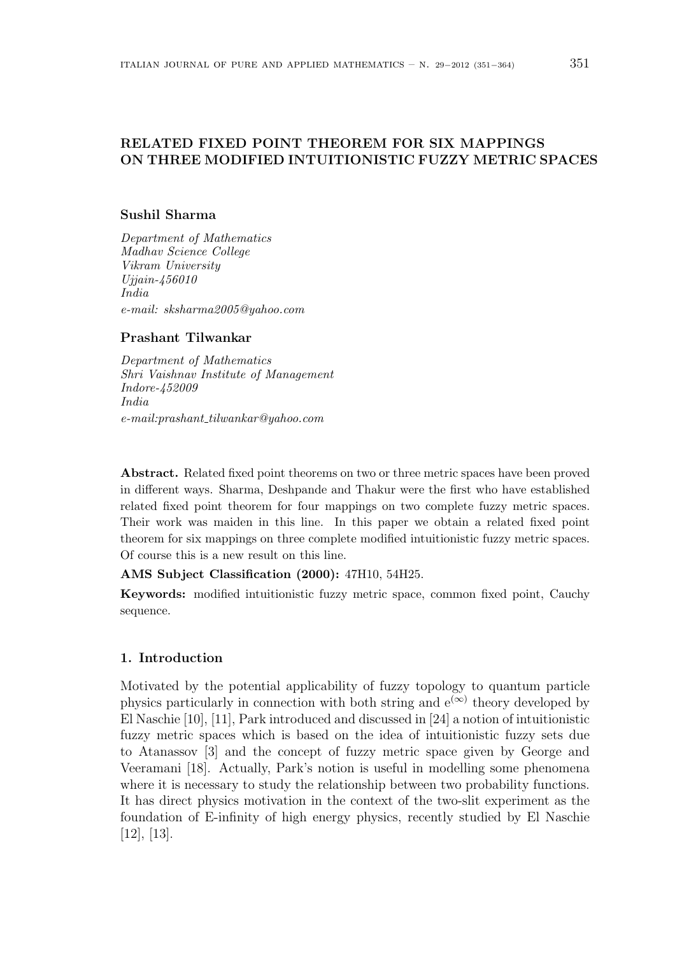# RELATED FIXED POINT THEOREM FOR SIX MAPPINGS ON THREE MODIFIED INTUITIONISTIC FUZZY METRIC SPACES

## Sushil Sharma

Department of Mathematics Madhav Science College Vikram University Ujjain-456010 India e-mail: sksharma2005@yahoo.com

## Prashant Tilwankar

Department of Mathematics Shri Vaishnav Institute of Management Indore-452009 India  $e-mail: prashant\_tilwankar@yahoo.com$ 

Abstract. Related fixed point theorems on two or three metric spaces have been proved in different ways. Sharma, Deshpande and Thakur were the first who have established related fixed point theorem for four mappings on two complete fuzzy metric spaces. Their work was maiden in this line. In this paper we obtain a related fixed point theorem for six mappings on three complete modified intuitionistic fuzzy metric spaces. Of course this is a new result on this line.

AMS Subject Classification (2000): 47H10, 54H25.

Keywords: modified intuitionistic fuzzy metric space, common fixed point, Cauchy sequence.

### 1. Introduction

Motivated by the potential applicability of fuzzy topology to quantum particle physics particularly in connection with both string and  $e^{(\infty)}$  theory developed by El Naschie [10], [11], Park introduced and discussed in [24] a notion of intuitionistic fuzzy metric spaces which is based on the idea of intuitionistic fuzzy sets due to Atanassov [3] and the concept of fuzzy metric space given by George and Veeramani [18]. Actually, Park's notion is useful in modelling some phenomena where it is necessary to study the relationship between two probability functions. It has direct physics motivation in the context of the two-slit experiment as the foundation of E-infinity of high energy physics, recently studied by El Naschie [12], [13].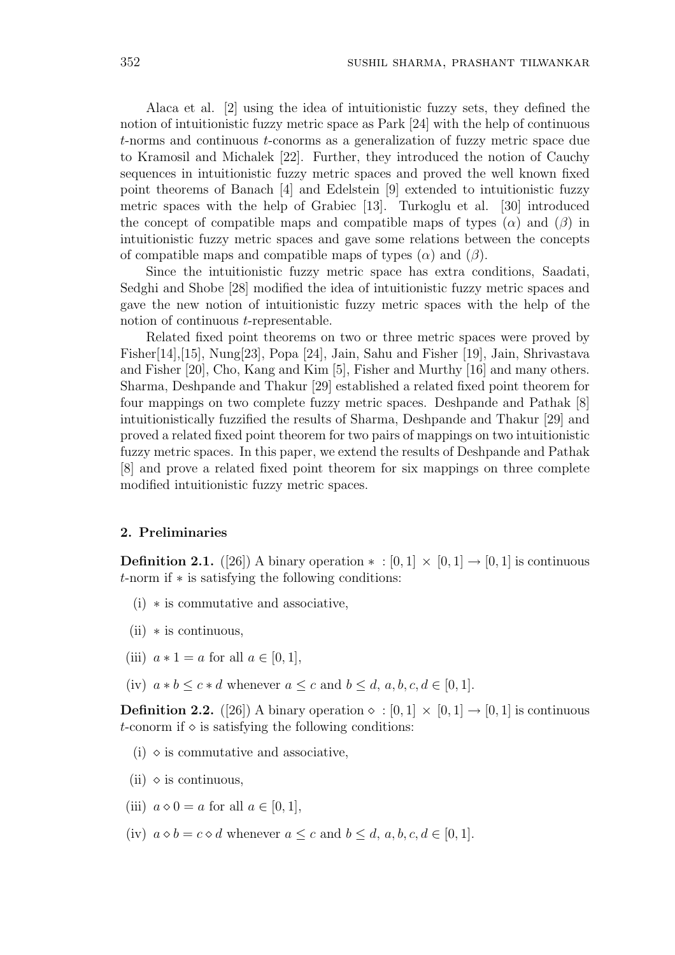Alaca et al. [2] using the idea of intuitionistic fuzzy sets, they defined the notion of intuitionistic fuzzy metric space as Park [24] with the help of continuous t-norms and continuous t-conorms as a generalization of fuzzy metric space due to Kramosil and Michalek [22]. Further, they introduced the notion of Cauchy sequences in intuitionistic fuzzy metric spaces and proved the well known fixed point theorems of Banach [4] and Edelstein [9] extended to intuitionistic fuzzy metric spaces with the help of Grabiec [13]. Turkoglu et al. [30] introduced the concept of compatible maps and compatible maps of types  $(\alpha)$  and  $(\beta)$  in intuitionistic fuzzy metric spaces and gave some relations between the concepts of compatible maps and compatible maps of types  $(\alpha)$  and  $(\beta)$ .

Since the intuitionistic fuzzy metric space has extra conditions, Saadati, Sedghi and Shobe [28] modified the idea of intuitionistic fuzzy metric spaces and gave the new notion of intuitionistic fuzzy metric spaces with the help of the notion of continuous t-representable.

Related fixed point theorems on two or three metric spaces were proved by Fisher[14],[15], Nung[23], Popa [24], Jain, Sahu and Fisher [19], Jain, Shrivastava and Fisher [20], Cho, Kang and Kim [5], Fisher and Murthy [16] and many others. Sharma, Deshpande and Thakur [29] established a related fixed point theorem for four mappings on two complete fuzzy metric spaces. Deshpande and Pathak [8] intuitionistically fuzzified the results of Sharma, Deshpande and Thakur [29] and proved a related fixed point theorem for two pairs of mappings on two intuitionistic fuzzy metric spaces. In this paper, we extend the results of Deshpande and Pathak [8] and prove a related fixed point theorem for six mappings on three complete modified intuitionistic fuzzy metric spaces.

## 2. Preliminaries

**Definition 2.1.** ([26]) A binary operation  $* : [0,1] \times [0,1] \rightarrow [0,1]$  is continuous t-norm if ∗ is satisfying the following conditions:

- (i) ∗ is commutative and associative,
- $(ii)$  \* is continuous,
- (iii)  $a * 1 = a$  for all  $a \in [0, 1]$ ,
- (iv)  $a * b \leq c * d$  whenever  $a \leq c$  and  $b \leq d$ ,  $a, b, c, d \in [0, 1]$ .

**Definition 2.2.** ([26]) A binary operation  $\diamond : [0, 1] \times [0, 1] \rightarrow [0, 1]$  is continuous t-conorm if  $\Diamond$  is satisfying the following conditions:

- $(i)$   $\diamond$  is commutative and associative,
- (ii)  $\diamond$  is continuous,
- (iii)  $a \diamond 0 = a$  for all  $a \in [0, 1]$ ,
- (iv)  $a \diamond b = c \diamond d$  whenever  $a \leq c$  and  $b \leq d, a, b, c, d \in [0, 1].$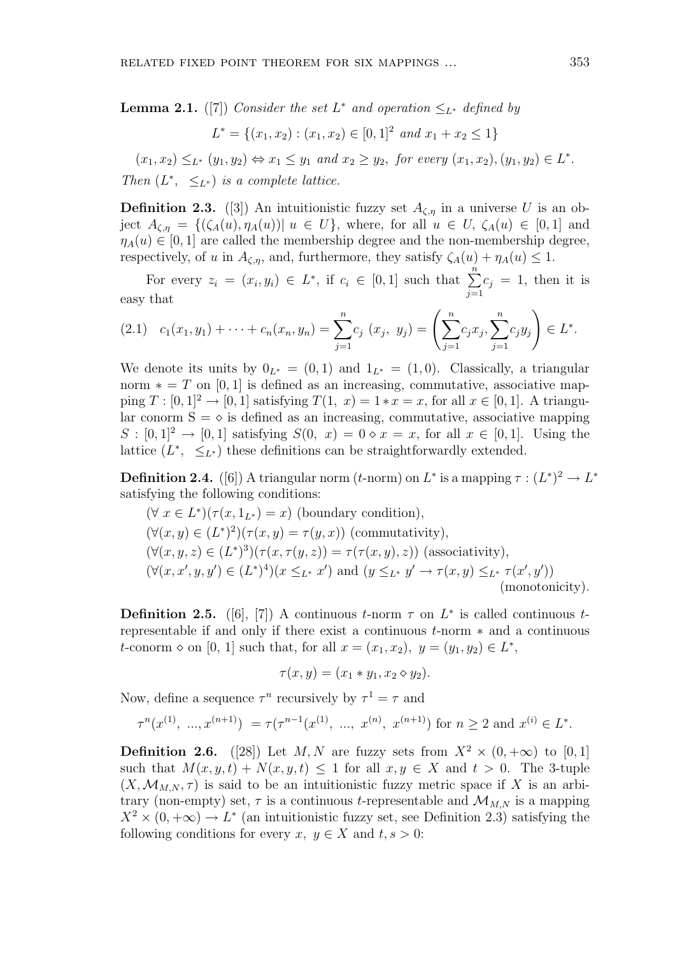**Lemma 2.1.** ([7]) Consider the set  $L^*$  and operation  $\leq_{L^*}$  defined by

$$
L^* = \{(x_1, x_2) : (x_1, x_2) \in [0, 1]^2 \text{ and } x_1 + x_2 \le 1\}
$$

 $(x_1, x_2) \leq_{L^*} (y_1, y_2) \Leftrightarrow x_1 \leq y_1 \text{ and } x_2 \geq y_2, \text{ for every } (x_1, x_2), (y_1, y_2) \in L^*.$ Then  $(L^*, \leq_{L^*})$  is a complete lattice.

**Definition 2.3.** ([3]) An intuitionistic fuzzy set  $A_{\zeta,\eta}$  in a universe U is an object  $A_{\zeta,\eta} = \{(\zeta_A(u), \eta_A(u)) | u \in U\}$ , where, for all  $u \in U$ ,  $\zeta_A(u) \in [0,1]$  and  $\eta_A(u) \in [0,1]$  are called the membership degree and the non-membership degree, respectively, of u in  $A_{\zeta,\eta}$ , and, furthermore, they satisfy  $\zeta_A(u) + \eta_A(u) \leq 1$ .

For every  $z_i = (x_i, y_i) \in L^*$ , if  $c_i \in [0, 1]$  such that  $\sum_{i=1}^{n}$  $j=1$  $c_j = 1$ , then it is easy that !<br>}

$$
(2.1) \quad c_1(x_1, y_1) + \cdots + c_n(x_n, y_n) = \sum_{j=1}^n c_j (x_j, y_j) = \left( \sum_{j=1}^n c_j x_j, \sum_{j=1}^n c_j y_j \right) \in L^*.
$$

We denote its units by  $0_{L^*} = (0, 1)$  and  $1_{L^*} = (1, 0)$ . Classically, a triangular norm  $* = T$  on [0, 1] is defined as an increasing, commutative, associative mapping  $T : [0,1]^2 \rightarrow [0,1]$  satisfying  $T(1, x) = 1 * x = x$ , for all  $x \in [0,1]$ . A triangular conorm  $S = \diamond$  is defined as an increasing, commutative, associative mapping  $S : [0,1]^2 \rightarrow [0,1]$  satisfying  $S(0, x) = 0 \diamond x = x$ , for all  $x \in [0,1]$ . Using the lattice  $(L^*, \leq_{L^*})$  these definitions can be straightforwardly extended.

**Definition 2.4.** ([6]) A triangular norm (*t*-norm) on  $L^*$  is a mapping  $\tau : (L^*)^2 \to L^*$ satisfying the following conditions:

$$
(\forall x \in L^*)(\tau(x, 1_{L^*}) = x)
$$
 (boundary condition),  
\n
$$
(\forall (x, y) \in (L^*)^2)(\tau(x, y) = \tau(y, x))
$$
 (commutativity),  
\n
$$
(\forall (x, y, z) \in (L^*)^3)(\tau(x, \tau(y, z)) = \tau(\tau(x, y), z))
$$
 (associativity),  
\n
$$
(\forall (x, x', y, y') \in (L^*)^4)(x \leq_{L^*} x')
$$
 and 
$$
(y \leq_{L^*} y' \to \tau(x, y) \leq_{L^*} \tau(x', y'))
$$
 (monotonicity).

**Definition 2.5.** ([6], [7]) A continuous t-norm  $\tau$  on  $L^*$  is called continuous trepresentable if and only if there exist a continuous t-norm ∗ and a continuous t-conorm  $\diamond$  on [0, 1] such that, for all  $x = (x_1, x_2), y = (y_1, y_2) \in L^*$ ,

$$
\tau(x,y) = (x_1 * y_1, x_2 \diamond y_2).
$$

Now, define a sequence  $\tau^n$  recursively by  $\tau^1 = \tau$  and

$$
\tau^n(x^{(1)}, \dots, x^{(n+1)}) = \tau(\tau^{n-1}(x^{(1)}, \dots, x^{(n)}, x^{(n+1)}) \text{ for } n \ge 2 \text{ and } x^{(i)} \in L^*.
$$

**Definition 2.6.** ([28]) Let M, N are fuzzy sets from  $X^2 \times (0, +\infty)$  to [0, 1] such that  $M(x, y, t) + N(x, y, t) \leq 1$  for all  $x, y \in X$  and  $t > 0$ . The 3-tuple  $(X, \mathcal{M}_{M,N}, \tau)$  is said to be an intuitionistic fuzzy metric space if X is an arbitrary (non-empty) set,  $\tau$  is a continuous t-representable and  $\mathcal{M}_{M,N}$  is a mapping  $X^2 \times (0, +\infty) \to L^*$  (an intuitionistic fuzzy set, see Definition 2.3) satisfying the following conditions for every x,  $y \in X$  and  $t, s > 0$ :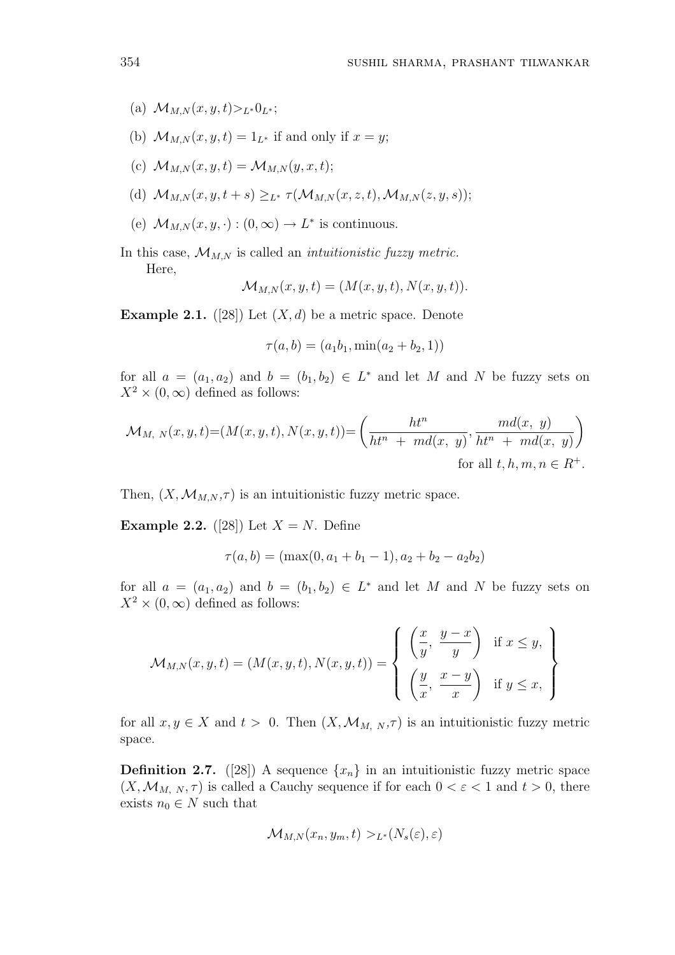- (a)  $\mathcal{M}_{MN}(x, y, t) > L_* 0$ <sub>L</sub>∗;
- (b)  $\mathcal{M}_{M,N}(x, y, t) = 1_{L^*}$  if and only if  $x = y$ ;
- (c)  $\mathcal{M}_{M,N}(x, y, t) = \mathcal{M}_{M,N}(y, x, t);$
- (d)  $\mathcal{M}_{M,N}(x, y, t + s) >_{L^*} \tau(\mathcal{M}_{M,N}(x, z, t), \mathcal{M}_{M,N}(z, y, s));$
- (e)  $\mathcal{M}_{M,N}(x,y,\cdot) : (0,\infty) \to L^*$  is continuous.
- In this case,  $\mathcal{M}_{M,N}$  is called an *intuitionistic fuzzy metric*. Here,

$$
\mathcal{M}_{M,N}(x,y,t) = (M(x,y,t), N(x,y,t)).
$$

**Example 2.1.** ([28]) Let  $(X, d)$  be a metric space. Denote

$$
\tau(a, b) = (a_1b_1, \min(a_2 + b_2, 1))
$$

for all  $a = (a_1, a_2)$  and  $b = (b_1, b_2) \in L^*$  and let M and N be fuzzy sets on  $X^2 \times (0, \infty)$  defined as follows:

$$
\mathcal{M}_{M, N}(x, y, t) = (M(x, y, t), N(x, y, t)) = \left(\frac{ht^n}{ht^n + md(x, y)}, \frac{md(x, y)}{ht^n + md(x, y)}\right)
$$
  
for all  $t, h, m, n \in R^+$ .

Then,  $(X, \mathcal{M}_{M,N}, \tau)$  is an intuitionistic fuzzy metric space.

**Example 2.2.** ([28]) Let  $X = N$ . Define

$$
\tau(a, b) = (\max(0, a_1 + b_1 - 1), a_2 + b_2 - a_2b_2)
$$

for all  $a = (a_1, a_2)$  and  $b = (b_1, b_2) \in L^*$  and let M and N be fuzzy sets on  $X^2 \times (0, \infty)$  defined as follows:

$$
\mathcal{M}_{M,N}(x,y,t) = (M(x,y,t), N(x,y,t)) = \begin{cases} \left(\frac{x}{y}, \frac{y-x}{y}\right) & \text{if } x \leq y, \\ \left(\frac{y}{x}, \frac{x-y}{x}\right) & \text{if } y \leq x, \end{cases}
$$

for all  $x, y \in X$  and  $t > 0$ . Then  $(X, \mathcal{M}_{M, N}, \tau)$  is an intuitionistic fuzzy metric space.

**Definition 2.7.** ([28]) A sequence  $\{x_n\}$  in an intuitionistic fuzzy metric space  $(X, \mathcal{M}_{M, N}, \tau)$  is called a Cauchy sequence if for each  $0 < \varepsilon < 1$  and  $t > 0$ , there exists  $n_0 \in N$  such that

$$
\mathcal{M}_{M,N}(x_n, y_m, t) >_{L^*}(N_s(\varepsilon), \varepsilon)
$$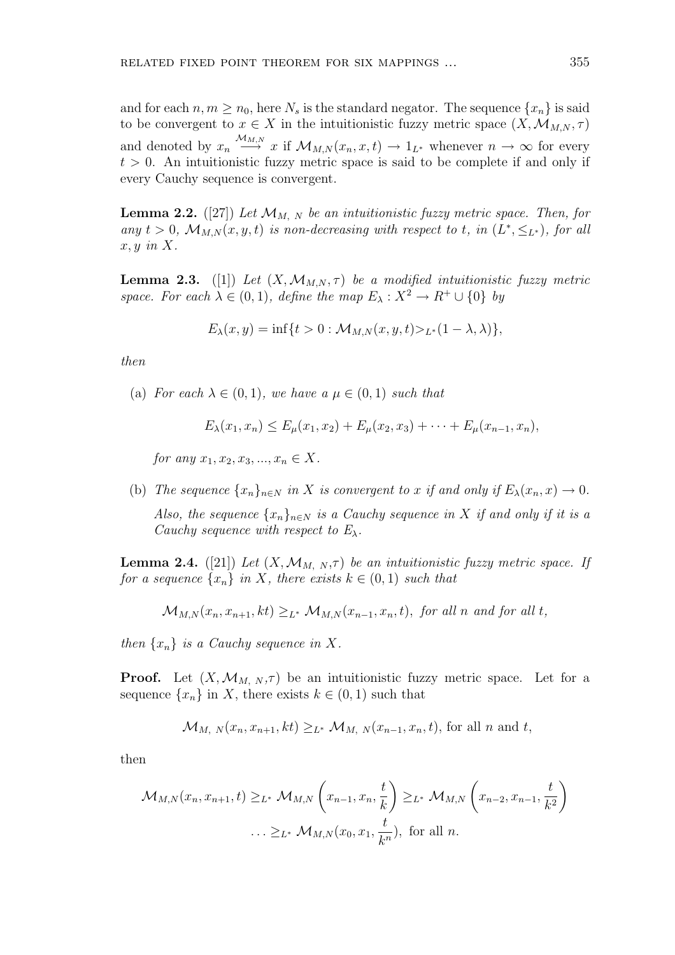and for each  $n, m \geq n_0$ , here  $N_s$  is the standard negator. The sequence  $\{x_n\}$  is said to be convergent to  $x \in X$  in the intuitionistic fuzzy metric space  $(X, \mathcal{M}_{M,N}, \tau)$ and denoted by  $x_n \stackrel{\mathcal{M}_{M,N}}{\longrightarrow} x$  if  $\mathcal{M}_{M,N}(x_n,x,t) \longrightarrow 1_{L^*}$  whenever  $n \to \infty$  for every  $t > 0$ . An intuitionistic fuzzy metric space is said to be complete if and only if every Cauchy sequence is convergent.

**Lemma 2.2.** ([27]) Let  $\mathcal{M}_{M, N}$  be an intuitionistic fuzzy metric space. Then, for any  $t > 0$ ,  $\mathcal{M}_{M,N}(x, y, t)$  is non-decreasing with respect to t, in  $(L^*, \leq_{L^*})$ , for all  $x, y \in X$ .

**Lemma 2.3.** ([1]) Let  $(X, \mathcal{M}_{M,N}, \tau)$  be a modified intuitionistic fuzzy metric space. For each  $\lambda \in (0,1)$ , define the map  $E_{\lambda}: X^2 \to R^+ \cup \{0\}$  by

$$
E_{\lambda}(x, y) = \inf\{t > 0 : \mathcal{M}_{M, N}(x, y, t) >_{L^*} (1 - \lambda, \lambda)\},\
$$

then

(a) For each  $\lambda \in (0,1)$ , we have a  $\mu \in (0,1)$  such that

$$
E_{\lambda}(x_1, x_n) \le E_{\mu}(x_1, x_2) + E_{\mu}(x_2, x_3) + \cdots + E_{\mu}(x_{n-1}, x_n),
$$

for any  $x_1, x_2, x_3, ..., x_n \in X$ .

(b) The sequence  $\{x_n\}_{n\in\mathbb{N}}$  in X is convergent to x if and only if  $E_\lambda(x_n, x) \to 0$ .

Also, the sequence  $\{x_n\}_{n\in\mathbb{N}}$  is a Cauchy sequence in X if and only if it is a Cauchy sequence with respect to  $E_{\lambda}$ .

**Lemma 2.4.** ([21]) Let  $(X, \mathcal{M}_{M, N}, \tau)$  be an intuitionistic fuzzy metric space. If for a sequence  $\{x_n\}$  in X, there exists  $k \in (0,1)$  such that

$$
\mathcal{M}_{M,N}(x_n, x_{n+1}, kt) \geq_{L^*} \mathcal{M}_{M,N}(x_{n-1}, x_n, t), \text{ for all } n \text{ and for all } t,
$$

then  $\{x_n\}$  is a Cauchy sequence in X.

**Proof.** Let  $(X, \mathcal{M}_{M, N}, \tau)$  be an intuitionistic fuzzy metric space. Let for a sequence  $\{x_n\}$  in X, there exists  $k \in (0,1)$  such that

$$
\mathcal{M}_{M, N}(x_n, x_{n+1}, kt) \geq_{L^*} \mathcal{M}_{M, N}(x_{n-1}, x_n, t)
$$
, for all *n* and *t*,

then

$$
\mathcal{M}_{M,N}(x_n, x_{n+1}, t) \geq_{L^*} \mathcal{M}_{M,N}\left(x_{n-1}, x_n, \frac{t}{k}\right) \geq_{L^*} \mathcal{M}_{M,N}\left(x_{n-2}, x_{n-1}, \frac{t}{k^2}\right)
$$
  

$$
\ldots \geq_{L^*} \mathcal{M}_{M,N}(x_0, x_1, \frac{t}{k^n}), \text{ for all } n.
$$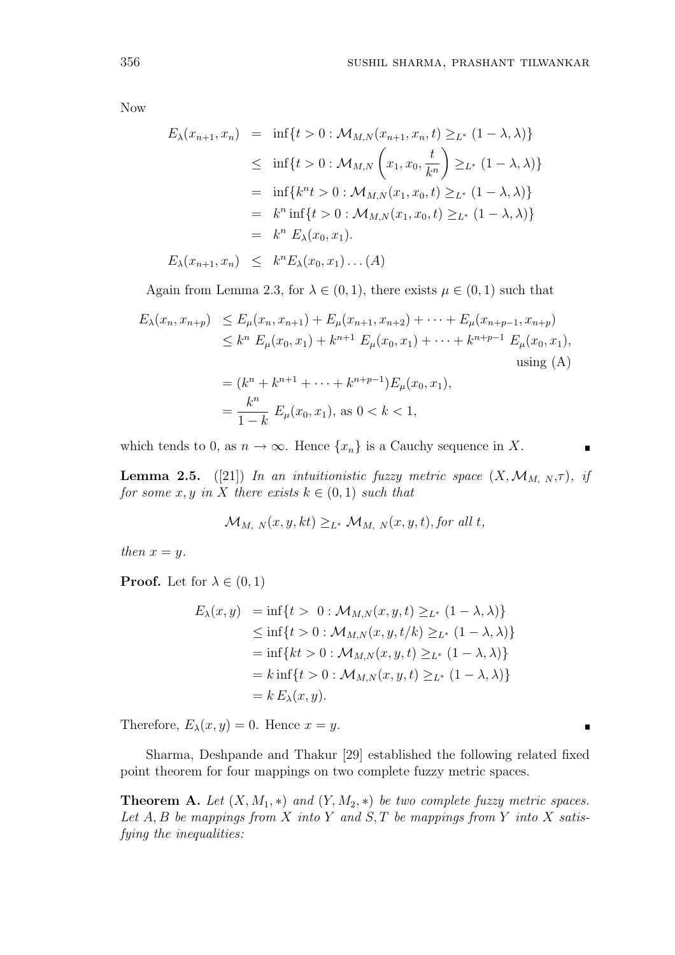Now

$$
E_{\lambda}(x_{n+1}, x_n) = \inf\{t > 0 : \mathcal{M}_{M,N}(x_{n+1}, x_n, t) \geq_{L^*} (1 - \lambda, \lambda)\}
$$
  
\n
$$
\leq \inf\{t > 0 : \mathcal{M}_{M,N}\left(x_1, x_0, \frac{t}{k^n}\right) \geq_{L^*} (1 - \lambda, \lambda)\}
$$
  
\n
$$
= \inf\{k^n t > 0 : \mathcal{M}_{M,N}(x_1, x_0, t) \geq_{L^*} (1 - \lambda, \lambda)\}
$$
  
\n
$$
= k^n \inf\{t > 0 : \mathcal{M}_{M,N}(x_1, x_0, t) \geq_{L^*} (1 - \lambda, \lambda)\}
$$
  
\n
$$
= k^n E_{\lambda}(x_0, x_1).
$$
  
\n
$$
E_{\lambda}(x_{n+1}, x_n) \leq k^n E_{\lambda}(x_0, x_1) \dots (A)
$$

Again from Lemma 2.3, for  $\lambda \in (0,1)$ , there exists  $\mu \in (0,1)$  such that

$$
E_{\lambda}(x_n, x_{n+p}) \leq E_{\mu}(x_n, x_{n+1}) + E_{\mu}(x_{n+1}, x_{n+2}) + \dots + E_{\mu}(x_{n+p-1}, x_{n+p})
$$
  
\n
$$
\leq k^n E_{\mu}(x_0, x_1) + k^{n+1} E_{\mu}(x_0, x_1) + \dots + k^{n+p-1} E_{\mu}(x_0, x_1),
$$
  
\nusing (A)  
\n
$$
= (k^n + k^{n+1} + \dots + k^{n+p-1}) E_{\mu}(x_0, x_1),
$$
  
\n
$$
= \frac{k^n}{1-k} E_{\mu}(x_0, x_1), \text{ as } 0 < k < 1,
$$

which tends to 0, as  $n \to \infty$ . Hence  $\{x_n\}$  is a Cauchy sequence in X.

**Lemma 2.5.** ([21]) In an intuitionistic fuzzy metric space  $(X, \mathcal{M}_{M, N}, \tau)$ , if for some x, y in X there exists  $k \in (0,1)$  such that

$$
\mathcal{M}_{M, N}(x, y, kt) \geq_{L^*} \mathcal{M}_{M, N}(x, y, t), for all t,
$$

then  $x = y$ .

**Proof.** Let for  $\lambda \in (0,1)$ 

$$
E_{\lambda}(x, y) = \inf\{t > 0 : \mathcal{M}_{M,N}(x, y, t) \geq_{L^*} (1 - \lambda, \lambda)\}
$$
  
\n
$$
\leq \inf\{t > 0 : \mathcal{M}_{M,N}(x, y, t/k) \geq_{L^*} (1 - \lambda, \lambda)\}
$$
  
\n
$$
= \inf\{kt > 0 : \mathcal{M}_{M,N}(x, y, t) \geq_{L^*} (1 - \lambda, \lambda)\}
$$
  
\n
$$
= k \inf\{t > 0 : \mathcal{M}_{M,N}(x, y, t) \geq_{L^*} (1 - \lambda, \lambda)\}
$$
  
\n
$$
= k E_{\lambda}(x, y).
$$

Therefore,  $E_{\lambda}(x, y) = 0$ . Hence  $x = y$ .

Sharma, Deshpande and Thakur [29] established the following related fixed point theorem for four mappings on two complete fuzzy metric spaces.

**Theorem A.** Let  $(X, M_1, *)$  and  $(Y, M_2, *)$  be two complete fuzzy metric spaces. Let  $A, B$  be mappings from  $X$  into  $Y$  and  $S, T$  be mappings from  $Y$  into  $X$  satisfying the inequalities:

 $\blacksquare$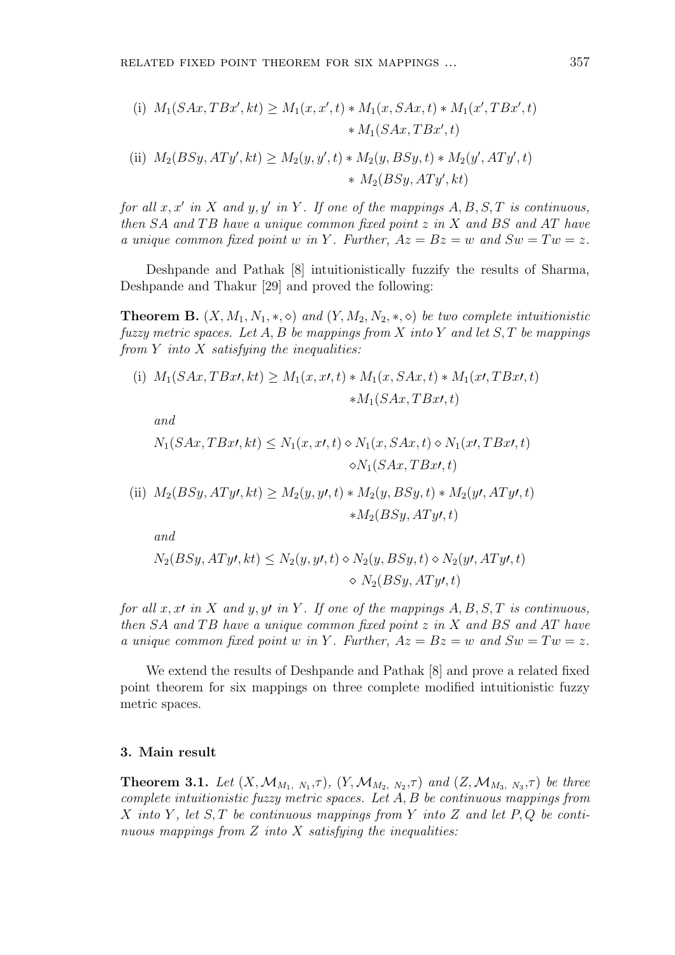(i) 
$$
M_1(SAx, TBx', kt) \ge M_1(x, x', t) * M_1(x, SAx, t) * M_1(x', TBx', t)
$$
  
\t $* M_1(SAx, TBx', t)$   
\t(ii)  $M_2(BSy, ATy', kt) \ge M_2(y, y', t) * M_2(y, BSy, t) * M_2(y', ATy', t)$   
\t $* M_2(BSy, ATy', kt)$ 

for all  $x, x'$  in X and  $y, y'$  in Y. If one of the mappings  $A, B, S, T$  is continuous, then  $SA$  and  $TB$  have a unique common fixed point  $z$  in  $X$  and  $BS$  and  $AT$  have a unique common fixed point w in Y. Further,  $Az = Bz = w$  and  $Sw = Tw = z$ .

Deshpande and Pathak [8] intuitionistically fuzzify the results of Sharma, Deshpande and Thakur [29] and proved the following:

**Theorem B.**  $(X, M_1, N_1, \ast, \diamond)$  and  $(Y, M_2, N_2, \ast, \diamond)$  be two complete intuitionistic fuzzy metric spaces. Let A, B be mappings from X into Y and let  $S$ , T be mappings from  $Y$  into  $X$  satisfying the inequalities:

(i) 
$$
M_1(SAx, TBx\prime, kt) \ge M_1(x, x\prime, t) * M_1(x, SAx, t) * M_1(x\prime, TBx\prime, t)
$$
  
  $*M_1(SAx, TBx\prime, t)$ 

and

$$
N_1(SAx, TBx\prime, kt) \le N_1(x, x\prime, t) \diamond N_1(x, SAx, t) \diamond N_1(x\prime, TBx\prime, t)
$$

$$
\diamond N_1(SAx, TBx\prime, t)
$$

(ii) 
$$
M_2(BSy, ATy\prime, kt) \ge M_2(y, y\prime, t) * M_2(y, BSy, t) * M_2(y\prime, ATy\prime, t)
$$
  
  $* M_2(BSy, ATy\prime, t)$ 

and

$$
N_2(BSy, ATy\prime, kt) \le N_2(y, y\prime, t) \diamond N_2(y, BSy, t) \diamond N_2(y\prime, ATy\prime, t)
$$

$$
\diamond N_2(BSy, ATy\prime, t)
$$

for all x, x $\prime$  in X and y, y $\prime$  in Y. If one of the mappings A, B, S, T is continuous, then  $SA$  and  $TB$  have a unique common fixed point  $z$  in  $X$  and  $BS$  and  $AT$  have a unique common fixed point w in Y. Further,  $Az = Bz = w$  and  $Sw = Tw = z$ .

We extend the results of Deshpande and Pathak [8] and prove a related fixed point theorem for six mappings on three complete modified intuitionistic fuzzy metric spaces.

### 3. Main result

**Theorem 3.1.** Let  $(X, M_{M_1, N_1}, \tau)$ ,  $(Y, M_{M_2, N_2}, \tau)$  and  $(Z, M_{M_3, N_3}, \tau)$  be three complete intuitionistic fuzzy metric spaces. Let A, B be continuous mappings from X into Y, let S, T be continuous mappings from Y into Z and let  $P, Q$  be continuous mappings from  $Z$  into  $X$  satisfying the inequalities: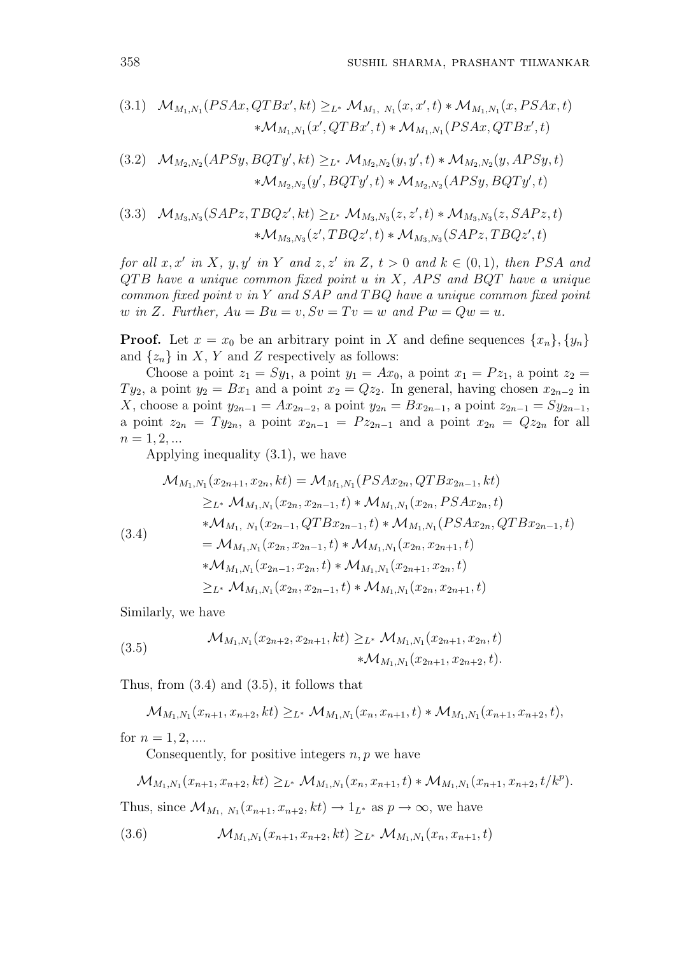(3.1) 
$$
\mathcal{M}_{M_1,N_1}(PSAx,QTBx',kt) \geq_{L^*} \mathcal{M}_{M_1,N_1}(x,x',t) * \mathcal{M}_{M_1,N_1}(x,PSAx,t)
$$
  
  $* \mathcal{M}_{M_1,N_1}(x',QTBx',t) * \mathcal{M}_{M_1,N_1}(PSAx,QTBx',t)$ 

(3.2) 
$$
\mathcal{M}_{M_2,N_2}(APSy, BQTy',kt) \geq_{L^*} \mathcal{M}_{M_2,N_2}(y,y',t) * \mathcal{M}_{M_2,N_2}(y, APSy,t)
$$

$$
* \mathcal{M}_{M_2,N_2}(y', BQTy',t) * \mathcal{M}_{M_2,N_2}(APSy, BQTy',t)
$$

$$
(3.3) \mathcal{M}_{M_3,N_3}(SAPz, TBQz', kt) \geq_{L^*} \mathcal{M}_{M_3,N_3}(z, z', t) * \mathcal{M}_{M_3,N_3}(z, SAPz, t) * \mathcal{M}_{M_3,N_3}(z', TBQz', t) * \mathcal{M}_{M_3,N_3}(SAPz, TBQz', t)
$$

for all  $x, x'$  in X,  $y, y'$  in Y and  $z, z'$  in Z,  $t > 0$  and  $k \in (0, 1)$ , then PSA and  $QTB$  have a unique common fixed point u in X, APS and BQT have a unique common fixed point  $v$  in  $Y$  and  $SAP$  and  $TBQ$  have a unique common fixed point w in Z. Further,  $Au = Bu = v$ ,  $Sv = Tv = w$  and  $Pw = Qw = u$ .

**Proof.** Let  $x = x_0$  be an arbitrary point in X and define sequences  $\{x_n\}, \{y_n\}$ and  $\{z_n\}$  in X, Y and Z respectively as follows:

Choose a point  $z_1 = Sy_1$ , a point  $y_1 = Ax_0$ , a point  $x_1 = Pz_1$ , a point  $z_2 =$  $Ty_2$ , a point  $y_2 = Bx_1$  and a point  $x_2 = Qz_2$ . In general, having chosen  $x_{2n-2}$  in X, choose a point  $y_{2n-1} = Ax_{2n-2}$ , a point  $y_{2n} = Bx_{2n-1}$ , a point  $z_{2n-1} = Sy_{2n-1}$ , a point  $z_{2n} = Ty_{2n}$ , a point  $x_{2n-1} = Pz_{2n-1}$  and a point  $x_{2n} = Qz_{2n}$  for all  $n = 1, 2, ...$ 

Applying inequality (3.1), we have

$$
\mathcal{M}_{M_1,N_1}(x_{2n+1},x_{2n},kt) = \mathcal{M}_{M_1,N_1}(PSAx_{2n},QTBx_{2n-1},kt)
$$
\n
$$
\geq_{L^*} \mathcal{M}_{M_1,N_1}(x_{2n},x_{2n-1},t) * \mathcal{M}_{M_1,N_1}(x_{2n},PSAx_{2n},t)
$$
\n
$$
*\mathcal{M}_{M_1,N_1}(x_{2n-1},QTBx_{2n-1},t) * \mathcal{M}_{M_1,N_1}(PSAx_{2n},QTBx_{2n-1},t)
$$
\n
$$
= \mathcal{M}_{M_1,N_1}(x_{2n},x_{2n-1},t) * \mathcal{M}_{M_1,N_1}(x_{2n},x_{2n+1},t)
$$
\n
$$
*\mathcal{M}_{M_1,N_1}(x_{2n-1},x_{2n},t) * \mathcal{M}_{M_1,N_1}(x_{2n+1},x_{2n},t)
$$
\n
$$
\geq_{L^*} \mathcal{M}_{M_1,N_1}(x_{2n},x_{2n-1},t) * \mathcal{M}_{M_1,N_1}(x_{2n},x_{2n+1},t)
$$

Similarly, we have

(3.5) 
$$
\mathcal{M}_{M_1,N_1}(x_{2n+2},x_{2n+1},kt) \geq_{L^*} \mathcal{M}_{M_1,N_1}(x_{2n+1},x_{2n},t) \ast \mathcal{M}_{M_1,N_1}(x_{2n+1},x_{2n+2},t).
$$

Thus, from (3.4) and (3.5), it follows that

$$
\mathcal{M}_{M_1,N_1}(x_{n+1},x_{n+2},kt) \geq_{L^*} \mathcal{M}_{M_1,N_1}(x_n,x_{n+1},t) * \mathcal{M}_{M_1,N_1}(x_{n+1},x_{n+2},t),
$$

for  $n = 1, 2, ...$ 

Consequently, for positive integers  $n, p$  we have

$$
\mathcal{M}_{M_1,N_1}(x_{n+1},x_{n+2},kt) \geq_{L^*} \mathcal{M}_{M_1,N_1}(x_n,x_{n+1},t) * \mathcal{M}_{M_1,N_1}(x_{n+1},x_{n+2},t/k^p).
$$

Thus, since  $\mathcal{M}_{M_1, N_1}(x_{n+1}, x_{n+2}, k t) \to 1_{L^*}$  as  $p \to \infty$ , we have

$$
(3.6) \qquad \mathcal{M}_{M_1,N_1}(x_{n+1},x_{n+2},kt) \geq_{L^*} \mathcal{M}_{M_1,N_1}(x_n,x_{n+1},t)
$$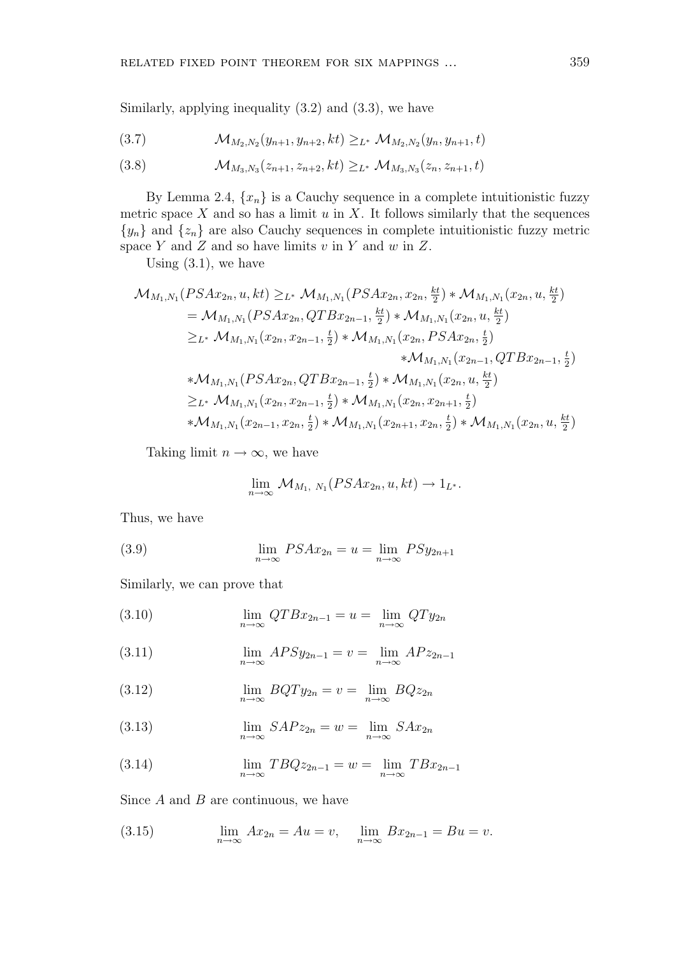Similarly, applying inequality (3.2) and (3.3), we have

$$
(3.7) \qquad \mathcal{M}_{M_2,N_2}(y_{n+1},y_{n+2},kt) \geq_{L^*} \mathcal{M}_{M_2,N_2}(y_n,y_{n+1},t)
$$

$$
(3.8) \qquad \mathcal{M}_{M_3,N_3}(z_{n+1}, z_{n+2}, kt) \geq_{L^*} \mathcal{M}_{M_3,N_3}(z_n, z_{n+1}, t)
$$

By Lemma 2.4,  $\{x_n\}$  is a Cauchy sequence in a complete intuitionistic fuzzy metric space  $X$  and so has a limit  $u$  in  $X$ . It follows similarly that the sequences  ${y_n}$  and  ${z_n}$  are also Cauchy sequences in complete intuitionistic fuzzy metric space Y and Z and so have limits  $v$  in Y and  $w$  in Z.

Using  $(3.1)$ , we have

$$
\mathcal{M}_{M_1,N_1}(PSAx_{2n}, u, kt) \geq_{L^*} \mathcal{M}_{M_1,N_1}(PSAx_{2n}, x_{2n}, \frac{kt}{2}) * \mathcal{M}_{M_1,N_1}(x_{2n}, u, \frac{kt}{2})
$$
\n
$$
= \mathcal{M}_{M_1,N_1}(PSAx_{2n}, QTBx_{2n-1}, \frac{kt}{2}) * \mathcal{M}_{M_1,N_1}(x_{2n}, u, \frac{kt}{2})
$$
\n
$$
\geq_{L^*} \mathcal{M}_{M_1,N_1}(x_{2n}, x_{2n-1}, \frac{t}{2}) * \mathcal{M}_{M_1,N_1}(x_{2n}, PSAx_{2n}, \frac{t}{2})
$$
\n
$$
* \mathcal{M}_{M_1,N_1}(x_{2n-1}, QTBx_{2n-1}, \frac{t}{2})
$$
\n
$$
* \mathcal{M}_{M_1,N_1}(PSAx_{2n}, QTBx_{2n-1}, \frac{t}{2}) * \mathcal{M}_{M_1,N_1}(x_{2n}, u, \frac{kt}{2})
$$
\n
$$
\geq_{L^*} \mathcal{M}_{M_1,N_1}(x_{2n}, x_{2n-1}, \frac{t}{2}) * \mathcal{M}_{M_1,N_1}(x_{2n}, x_{2n+1}, \frac{t}{2})
$$
\n
$$
* \mathcal{M}_{M_1,N_1}(x_{2n-1}, x_{2n}, \frac{t}{2}) * \mathcal{M}_{M_1,N_1}(x_{2n+1}, x_{2n}, \frac{t}{2}) * \mathcal{M}_{M_1,N_1}(x_{2n}, u, \frac{kt}{2})
$$

Taking limit  $n \to \infty$ , we have

$$
\lim_{n\to\infty} \mathcal{M}_{M_1, N_1}(PSAx_{2n}, u, kt) \to 1_{L^*}.
$$

Thus, we have

(3.9) 
$$
\lim_{n \to \infty} PSAx_{2n} = u = \lim_{n \to \infty} PSy_{2n+1}
$$

Similarly, we can prove that

(3.10) 
$$
\lim_{n \to \infty} QTBx_{2n-1} = u = \lim_{n \to \infty} QTy_{2n}
$$

(3.11) 
$$
\lim_{n \to \infty} APSy_{2n-1} = v = \lim_{n \to \infty} APz_{2n-1}
$$

(3.12) 
$$
\lim_{n \to \infty} BQTy_{2n} = v = \lim_{n \to \infty} BQz_{2n}
$$

(3.13) 
$$
\lim_{n \to \infty} SAPz_{2n} = w = \lim_{n \to \infty} SAx_{2n}
$$

(3.14) 
$$
\lim_{n \to \infty} T B Q z_{2n-1} = w = \lim_{n \to \infty} T B x_{2n-1}
$$

Since  $A$  and  $B$  are continuous, we have

(3.15) 
$$
\lim_{n \to \infty} Ax_{2n} = Au = v, \quad \lim_{n \to \infty} Bx_{2n-1} = Bu = v.
$$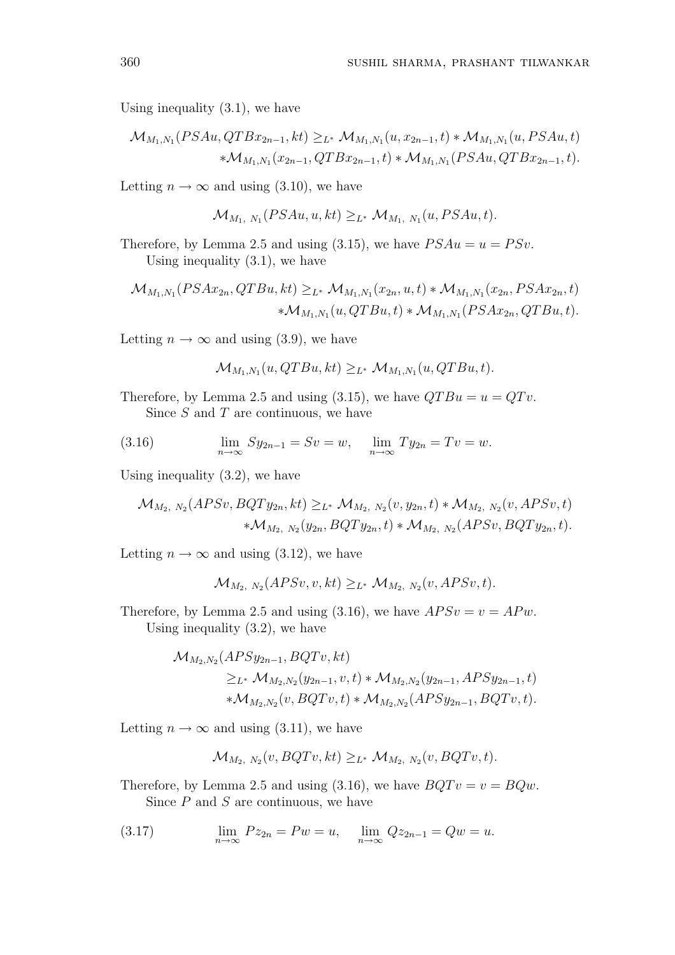Using inequality (3.1), we have

$$
\mathcal{M}_{M_1,N_1}(PSAu,QTBx_{2n-1},kt) \geq_{L^*} \mathcal{M}_{M_1,N_1}(u,x_{2n-1},t) * \mathcal{M}_{M_1,N_1}(u,PSAu,t)
$$
  
 
$$
* \mathcal{M}_{M_1,N_1}(x_{2n-1},QTBx_{2n-1},t) * \mathcal{M}_{M_1,N_1}(PSAu,QTBx_{2n-1},t).
$$

Letting  $n \to \infty$  and using (3.10), we have

$$
\mathcal{M}_{M_1, N_1}(PSAu, u, kt) \geq_{L^*} \mathcal{M}_{M_1, N_1}(u, PSAu, t).
$$

Therefore, by Lemma 2.5 and using (3.15), we have  $PSAu = u = PSv$ . Using inequality  $(3.1)$ , we have

$$
\mathcal{M}_{M_1,N_1}(PSAx_{2n},QTBu,kt) \geq_{L^*} \mathcal{M}_{M_1,N_1}(x_{2n},u,t) * \mathcal{M}_{M_1,N_1}(x_{2n},PSAx_{2n},t) \n* \mathcal{M}_{M_1,N_1}(u,QTBu,t) * \mathcal{M}_{M_1,N_1}(PSAx_{2n},QTBu,t).
$$

Letting  $n \to \infty$  and using (3.9), we have

$$
\mathcal{M}_{M_1,N_1}(u,QTBu,kt) \geq_{L^*} \mathcal{M}_{M_1,N_1}(u,QTBu,t).
$$

Therefore, by Lemma 2.5 and using (3.15), we have  $QTBu = u = QTv$ . Since  $S$  and  $T$  are continuous, we have

(3.16) 
$$
\lim_{n \to \infty} Sy_{2n-1} = Sv = w, \quad \lim_{n \to \infty} Ty_{2n} = Tv = w.
$$

Using inequality (3.2), we have

$$
\mathcal{M}_{M_2, N_2}(APSv, BQTy_{2n}, kt) \geq_{L^*} \mathcal{M}_{M_2, N_2}(v, y_{2n}, t) * \mathcal{M}_{M_2, N_2}(v, APSv, t) \n* \mathcal{M}_{M_2, N_2}(y_{2n}, BQTy_{2n}, t) * \mathcal{M}_{M_2, N_2}(APSv, BQTy_{2n}, t).
$$

Letting  $n \to \infty$  and using (3.12), we have

$$
\mathcal{M}_{M_2, N_2}(APSv, v, kt) \geq_{L^*} \mathcal{M}_{M_2, N_2}(v, APSv, t).
$$

Therefore, by Lemma 2.5 and using (3.16), we have  $APSv = v = APw$ . Using inequality (3.2), we have

$$
\mathcal{M}_{M_2,N_2}(APSy_{2n-1}, BQTv,kt)
$$
  
\n
$$
\geq_{L^*} \mathcal{M}_{M_2,N_2}(y_{2n-1}, v, t) * \mathcal{M}_{M_2,N_2}(y_{2n-1}, APSy_{2n-1}, t)
$$
  
\n
$$
* \mathcal{M}_{M_2,N_2}(v, BQTv, t) * \mathcal{M}_{M_2,N_2}(APSy_{2n-1}, BQTv, t).
$$

Letting  $n \to \infty$  and using (3.11), we have

$$
\mathcal{M}_{M_2, N_2}(v, BQTv, kt) \geq_{L^*} \mathcal{M}_{M_2, N_2}(v, BQTv, t).
$$

Therefore, by Lemma 2.5 and using (3.16), we have  $BQTv = v = BQw$ . Since  $P$  and  $S$  are continuous, we have

(3.17) 
$$
\lim_{n \to \infty} Pz_{2n} = Pw = u, \quad \lim_{n \to \infty} Qz_{2n-1} = Qw = u.
$$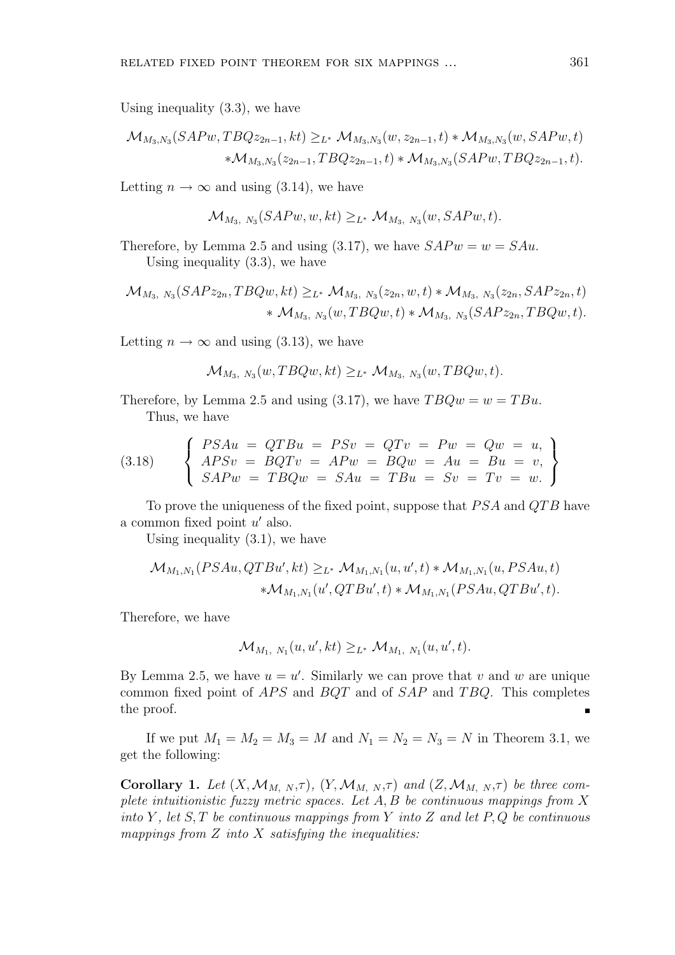Using inequality (3.3), we have

$$
\mathcal{M}_{M_3,N_3}(SAPw, TBQz_{2n-1},kt) \geq_{L^*} \mathcal{M}_{M_3,N_3}(w, z_{2n-1},t) * \mathcal{M}_{M_3,N_3}(w, SAPw,t) \n* \mathcal{M}_{M_3,N_3}(z_{2n-1}, TBQz_{2n-1},t) * \mathcal{M}_{M_3,N_3}(SAPw, TBQz_{2n-1},t).
$$

Letting  $n \to \infty$  and using (3.14), we have

$$
\mathcal{M}_{M_3, N_3}(SAPw, w, kt) \geq_{L^*} \mathcal{M}_{M_3, N_3}(w, SAPw, t).
$$

Therefore, by Lemma 2.5 and using (3.17), we have  $SAPw = w = SAu$ . Using inequality (3.3), we have

$$
\mathcal{M}_{M_3, N_3}(SAPz_{2n}, TBQw, kt) \geq_{L^*} \mathcal{M}_{M_3, N_3}(z_{2n}, w, t) * \mathcal{M}_{M_3, N_3}(z_{2n}, SAPz_{2n}, t) \n* \mathcal{M}_{M_3, N_3}(w, TBQw, t) * \mathcal{M}_{M_3, N_3}(SAPz_{2n}, TBQw, t).
$$

Letting  $n \to \infty$  and using (3.13), we have

$$
\mathcal{M}_{M_3, N_3}(w, TBQw, kt) \geq_{L^*} \mathcal{M}_{M_3, N_3}(w, TBQw, t).
$$

Therefore, by Lemma 2.5 and using (3.17), we have  $TBQw = w = TBu$ . Thus, we have

(3.18) 
$$
\begin{cases}\nPSAu = QTBu = PSv = QTv = Pw = Qw = u, \\
APSv = BQTv = APw = BQw = Au = Bu = v, \\
SAPw = TBQw = SAu = TBu = Sv = Tv = w.\n\end{cases}
$$

To prove the uniqueness of the fixed point, suppose that  $PSA$  and  $QTB$  have a common fixed point  $u'$  also.

Using inequality  $(3.1)$ , we have

$$
\mathcal{M}_{M_1,N_1}(PSAu,QTBu',kt) \geq_{L^*} \mathcal{M}_{M_1,N_1}(u,u',t) * \mathcal{M}_{M_1,N_1}(u,PSAu,t) \n* \mathcal{M}_{M_1,N_1}(u',QTBu',t) * \mathcal{M}_{M_1,N_1}(PSAu,QTBu',t).
$$

Therefore, we have

$$
\mathcal{M}_{M_1, N_1}(u, u', kt) \geq_{L^*} \mathcal{M}_{M_1, N_1}(u, u', t).
$$

By Lemma 2.5, we have  $u = u'$ . Similarly we can prove that v and w are unique common fixed point of  $APS$  and  $BQT$  and of  $SAP$  and  $TBQ$ . This completes the proof.  $\blacksquare$ 

If we put  $M_1 = M_2 = M_3 = M$  and  $N_1 = N_2 = N_3 = N$  in Theorem 3.1, we get the following:

**Corollary 1.** Let  $(X, \mathcal{M}_{M, N}, \tau)$ ,  $(Y, \mathcal{M}_{M, N}, \tau)$  and  $(Z, \mathcal{M}_{M, N}, \tau)$  be three complete intuitionistic fuzzy metric spaces. Let  $A, B$  be continuous mappings from  $X$ into Y, let  $S, T$  be continuous mappings from Y into Z and let P, Q be continuous mappings from  $Z$  into  $X$  satisfying the inequalities: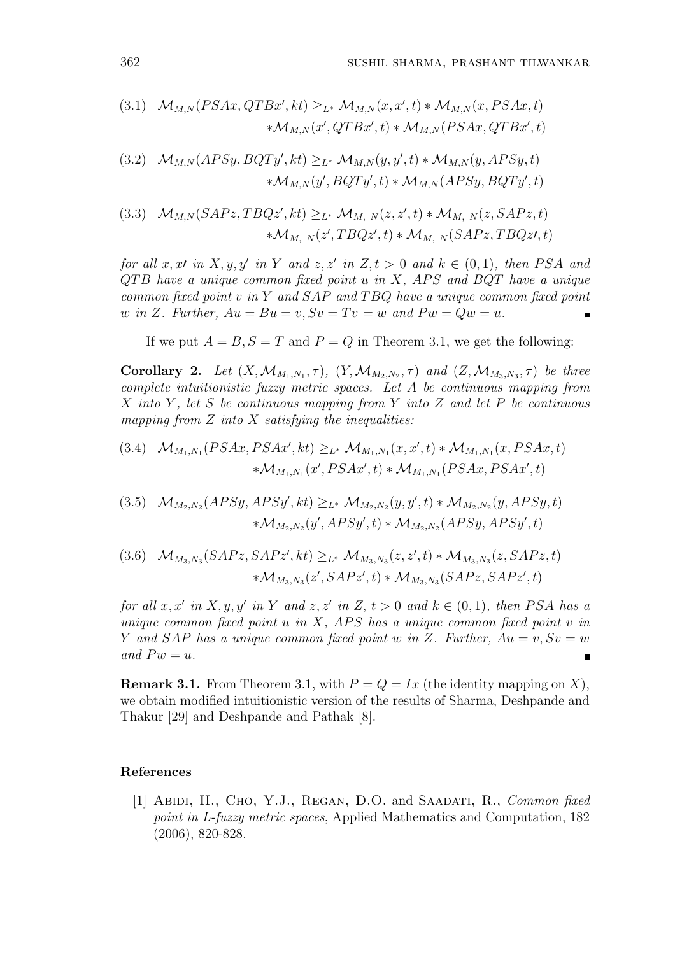(3.1) 
$$
\mathcal{M}_{M,N}(PSAx, QTBx',kt) \geq_{L^*} \mathcal{M}_{M,N}(x,x',t) * \mathcal{M}_{M,N}(x,PSAx,t)
$$

$$
* \mathcal{M}_{M,N}(x',QTBx',t) * \mathcal{M}_{M,N}(PSAx,QTBx',t)
$$

(3.2) 
$$
\mathcal{M}_{M,N}(APSy, BQTy', kt) \geq_{L^*} \mathcal{M}_{M,N}(y, y', t) * \mathcal{M}_{M,N}(y, APSy, t)
$$

$$
* \mathcal{M}_{M,N}(y', BQTy', t) * \mathcal{M}_{M,N}(APSy, BQTy', t)
$$

(3.3) 
$$
\mathcal{M}_{M,N}(SAPz, TBQz', kt) \geq_{L^*} \mathcal{M}_{M,N}(z, z', t) * \mathcal{M}_{M,N}(z, SAPz, t)
$$

$$
* \mathcal{M}_{M,N}(z', TBQz', t) * \mathcal{M}_{M,N}(SAPz, TBQz', t)
$$

for all x, xl in X, y, y' in Y and z, z' in Z, t > 0 and  $k \in (0,1)$ , then PSA and  $QTB$  have a unique common fixed point  $u$  in  $X$ , APS and BQT have a unique common fixed point  $v$  in  $Y$  and  $SAP$  and  $TBQ$  have a unique common fixed point w in Z. Further,  $Au = Bu = v$ ,  $Sv = Tv = w$  and  $Pw = Qw = u$ .  $\blacksquare$ 

If we put  $A = B$ ,  $S = T$  and  $P = Q$  in Theorem 3.1, we get the following:

Corollary 2. Let  $(X, \mathcal{M}_{M_1,N_1}, \tau)$ ,  $(Y, \mathcal{M}_{M_2,N_2}, \tau)$  and  $(Z, \mathcal{M}_{M_3,N_3}, \tau)$  be three complete intuitionistic fuzzy metric spaces. Let A be continuous mapping from X into Y, let S be continuous mapping from Y into Z and let P be continuous mapping from  $Z$  into  $X$  satisfying the inequalities:

(3.4) 
$$
\mathcal{M}_{M_1,N_1}(PSAx,PSAx',kt) \geq_{L^*} \mathcal{M}_{M_1,N_1}(x,x',t) * \mathcal{M}_{M_1,N_1}(x,PSAx,t)
$$
  
  $\ast \mathcal{M}_{M_1,N_1}(x',PSAx',t) * \mathcal{M}_{M_1,N_1}(PSAx,PSAx',t)$ 

(3.5) 
$$
\mathcal{M}_{M_2,N_2}(APSy, APSy',kt) \geq_{L^*} \mathcal{M}_{M_2,N_2}(y, y',t) * \mathcal{M}_{M_2,N_2}(y,APSy,t)
$$
  
  $* \mathcal{M}_{M_2,N_2}(y',APSy',t) * \mathcal{M}_{M_2,N_2}(APSy,APSy',t)$ 

$$
(3.6) \quad \mathcal{M}_{M_3,N_3}(SAPz, SAPz', kt) \geq_{L^*} \mathcal{M}_{M_3,N_3}(z, z', t) * \mathcal{M}_{M_3,N_3}(z, SAPz, t) \n* \mathcal{M}_{M_3,N_3}(z', SAPz', t) * \mathcal{M}_{M_3,N_3}(SAPz, SAPz', t)
$$

for all  $x, x'$  in  $X, y, y'$  in Y and  $z, z'$  in  $Z, t > 0$  and  $k \in (0, 1)$ , then PSA has a unique common fixed point  $u$  in  $X$ , APS has a unique common fixed point  $v$  in Y and SAP has a unique common fixed point w in Z. Further,  $Au = v$ ,  $Sv = w$ and  $Pw = u$ .  $\blacksquare$ 

**Remark 3.1.** From Theorem 3.1, with  $P = Q = Ix$  (the identity mapping on X), we obtain modified intuitionistic version of the results of Sharma, Deshpande and Thakur [29] and Deshpande and Pathak [8].

#### References

[1] ABIDI, H., CHO, Y.J., REGAN, D.O. and SAADATI, R., Common fixed point in L-fuzzy metric spaces, Applied Mathematics and Computation, 182 (2006), 820-828.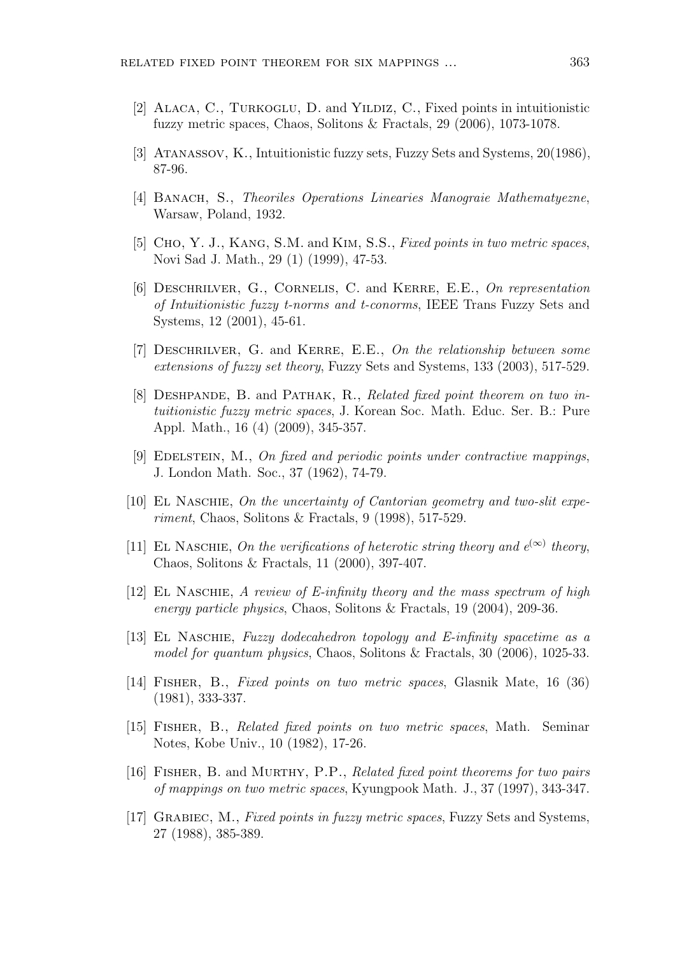- [2] Alaca, C., Turkoglu, D. and Yildiz, C., Fixed points in intuitionistic fuzzy metric spaces, Chaos, Solitons & Fractals, 29 (2006), 1073-1078.
- [3] Atanassov, K., Intuitionistic fuzzy sets, Fuzzy Sets and Systems, 20(1986), 87-96.
- [4] BANACH, S., Theoriles Operations Linearies Manograie Mathematyezne, Warsaw, Poland, 1932.
- [5] Cho, Y. J., Kang, S.M. and Kim, S.S., Fixed points in two metric spaces, Novi Sad J. Math., 29 (1) (1999), 47-53.
- [6] DESCHRILVER, G., CORNELIS, C. and KERRE, E.E., On representation of Intuitionistic fuzzy t-norms and t-conorms, IEEE Trans Fuzzy Sets and Systems, 12 (2001), 45-61.
- [7] DESCHRILVER, G. and KERRE, E.E., On the relationship between some extensions of fuzzy set theory, Fuzzy Sets and Systems, 133 (2003), 517-529.
- [8] DESHPANDE, B. and PATHAK, R., Related fixed point theorem on two intuitionistic fuzzy metric spaces, J. Korean Soc. Math. Educ. Ser. B.: Pure Appl. Math., 16 (4) (2009), 345-357.
- [9] Edelstein, M., On fixed and periodic points under contractive mappings, J. London Math. Soc., 37 (1962), 74-79.
- [10] EL NASCHIE, On the uncertainty of Cantorian geometry and two-slit experiment, Chaos, Solitons & Fractals, 9 (1998), 517-529.
- [11] EL NASCHIE, On the verifications of heterotic string theory and  $e^{(\infty)}$  theory, Chaos, Solitons & Fractals, 11 (2000), 397-407.
- [12] EL NASCHIE, A review of E-infinity theory and the mass spectrum of high energy particle physics, Chaos, Solitons & Fractals, 19 (2004), 209-36.
- [13] El Naschie, Fuzzy dodecahedron topology and E-infinity spacetime as a model for quantum physics, Chaos, Solitons & Fractals, 30 (2006), 1025-33.
- [14] Fisher, B., Fixed points on two metric spaces, Glasnik Mate, 16 (36) (1981), 333-337.
- [15] Fisher, B., Related fixed points on two metric spaces, Math. Seminar Notes, Kobe Univ., 10 (1982), 17-26.
- [16] Fisher, B. and Murthy, P.P., Related fixed point theorems for two pairs of mappings on two metric spaces, Kyungpook Math. J., 37 (1997), 343-347.
- [17] Grabiec, M., Fixed points in fuzzy metric spaces, Fuzzy Sets and Systems, 27 (1988), 385-389.